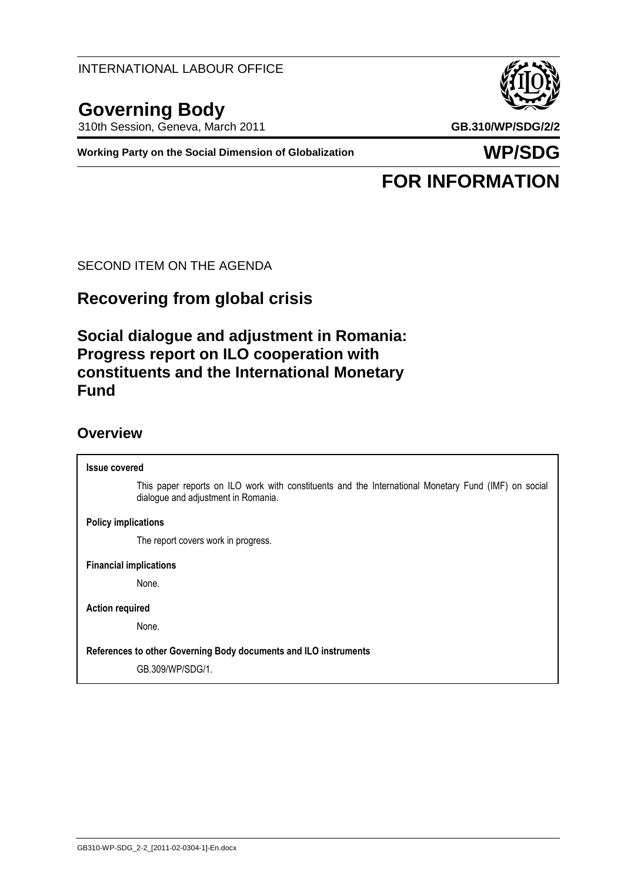INTERNATIONAL LABOUR OFFICE

# **Governing Body**

310th Session, Geneva, March 2011 **GB.310/WP/SDG/2/2**

**Working Party on the Social Dimension of Globalization WP/SDG**

# **FOR INFORMATION**

SECOND ITEM ON THE AGENDA

# **Recovering from global crisis**

## **Social dialogue and adjustment in Romania: Progress report on ILO cooperation with constituents and the International Monetary Fund**

### **Overview**

**Issue covered** This paper reports on ILO work with constituents and the International Monetary Fund (IMF) on social dialogue and adjustment in Romania. **Policy implications**

The report covers work in progress.

**Financial implications**

None.

**Action required**

None.

**References to other Governing Body documents and ILO instruments**

GB.309/WP/SDG/1.

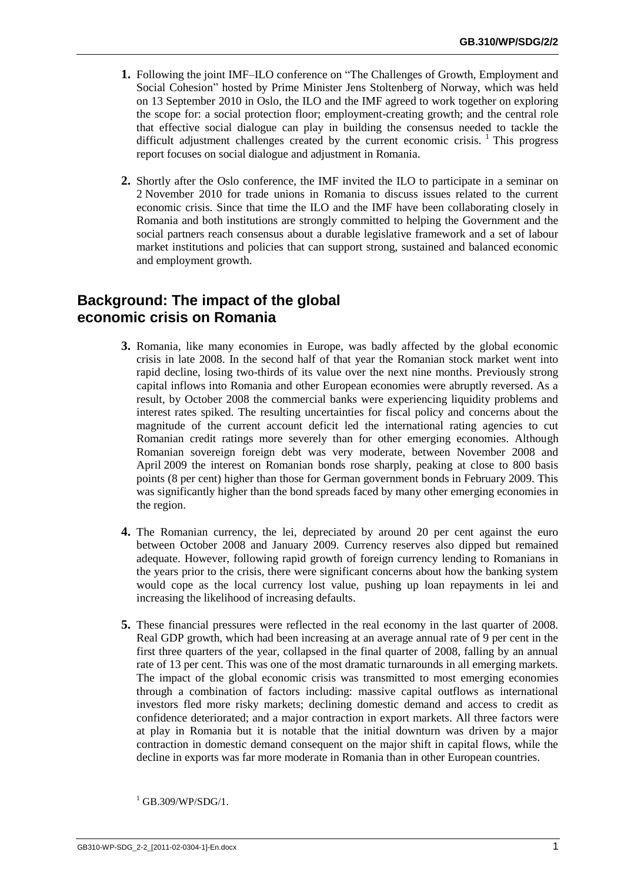- **1.** Following the joint IMF–ILO conference on "The Challenges of Growth, Employment and Social Cohesion" hosted by Prime Minister Jens Stoltenberg of Norway, which was held on 13 September 2010 in Oslo, the ILO and the IMF agreed to work together on exploring the scope for: a social protection floor; employment-creating growth; and the central role that effective social dialogue can play in building the consensus needed to tackle the difficult adjustment challenges created by the current economic crisis.  $\frac{1}{1}$  This progress report focuses on social dialogue and adjustment in Romania.
- **2.** Shortly after the Oslo conference, the IMF invited the ILO to participate in a seminar on 2 November 2010 for trade unions in Romania to discuss issues related to the current economic crisis. Since that time the ILO and the IMF have been collaborating closely in Romania and both institutions are strongly committed to helping the Government and the social partners reach consensus about a durable legislative framework and a set of labour market institutions and policies that can support strong, sustained and balanced economic and employment growth.

## **Background: The impact of the global economic crisis on Romania**

- **3.** Romania, like many economies in Europe, was badly affected by the global economic crisis in late 2008. In the second half of that year the Romanian stock market went into rapid decline, losing two-thirds of its value over the next nine months. Previously strong capital inflows into Romania and other European economies were abruptly reversed. As a result, by October 2008 the commercial banks were experiencing liquidity problems and interest rates spiked. The resulting uncertainties for fiscal policy and concerns about the magnitude of the current account deficit led the international rating agencies to cut Romanian credit ratings more severely than for other emerging economies. Although Romanian sovereign foreign debt was very moderate, between November 2008 and April 2009 the interest on Romanian bonds rose sharply, peaking at close to 800 basis points (8 per cent) higher than those for German government bonds in February 2009. This was significantly higher than the bond spreads faced by many other emerging economies in the region.
- **4.** The Romanian currency, the lei, depreciated by around 20 per cent against the euro between October 2008 and January 2009. Currency reserves also dipped but remained adequate. However, following rapid growth of foreign currency lending to Romanians in the years prior to the crisis, there were significant concerns about how the banking system would cope as the local currency lost value, pushing up loan repayments in lei and increasing the likelihood of increasing defaults.
- **5.** These financial pressures were reflected in the real economy in the last quarter of 2008. Real GDP growth, which had been increasing at an average annual rate of 9 per cent in the first three quarters of the year, collapsed in the final quarter of 2008, falling by an annual rate of 13 per cent. This was one of the most dramatic turnarounds in all emerging markets. The impact of the global economic crisis was transmitted to most emerging economies through a combination of factors including: massive capital outflows as international investors fled more risky markets; declining domestic demand and access to credit as confidence deteriorated; and a major contraction in export markets. All three factors were at play in Romania but it is notable that the initial downturn was driven by a major contraction in domestic demand consequent on the major shift in capital flows, while the decline in exports was far more moderate in Romania than in other European countries.

 $^{1}$  GB.309/WP/SDG/1.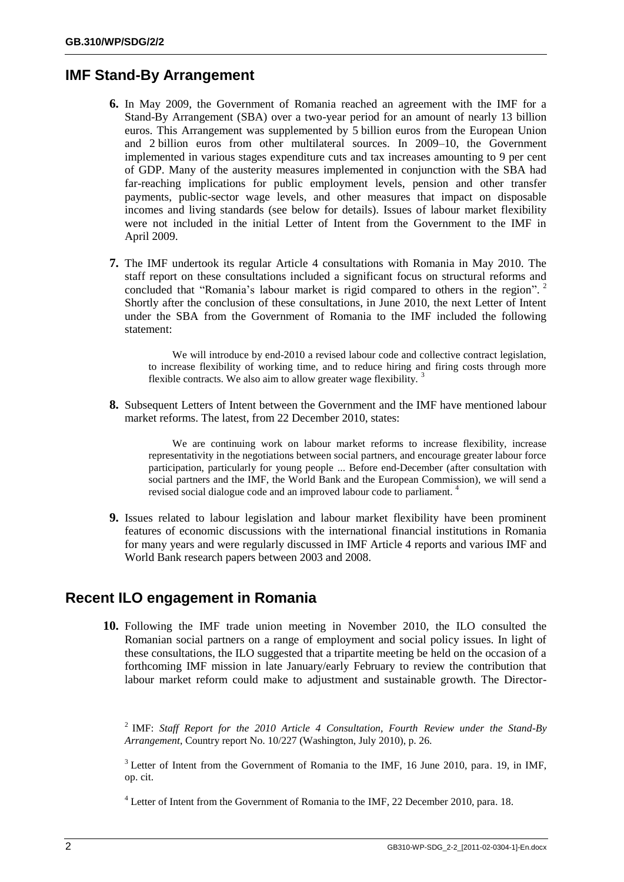#### **IMF Stand-By Arrangement**

- **6.** In May 2009, the Government of Romania reached an agreement with the IMF for a Stand-By Arrangement (SBA) over a two-year period for an amount of nearly 13 billion euros. This Arrangement was supplemented by 5 billion euros from the European Union and 2 billion euros from other multilateral sources. In 2009–10, the Government implemented in various stages expenditure cuts and tax increases amounting to 9 per cent of GDP. Many of the austerity measures implemented in conjunction with the SBA had far-reaching implications for public employment levels, pension and other transfer payments, public-sector wage levels, and other measures that impact on disposable incomes and living standards (see below for details). Issues of labour market flexibility were not included in the initial Letter of Intent from the Government to the IMF in April 2009.
- **7.** The IMF undertook its regular Article 4 consultations with Romania in May 2010. The staff report on these consultations included a significant focus on structural reforms and concluded that "Romania's labour market is rigid compared to others in the region".<sup>2</sup> Shortly after the conclusion of these consultations, in June 2010, the next Letter of Intent under the SBA from the Government of Romania to the IMF included the following statement:

We will introduce by end-2010 a revised labour code and collective contract legislation, to increase flexibility of working time, and to reduce hiring and firing costs through more flexible contracts. We also aim to allow greater wage flexibility.  $3$ 

**8.** Subsequent Letters of Intent between the Government and the IMF have mentioned labour market reforms. The latest, from 22 December 2010, states:

We are continuing work on labour market reforms to increase flexibility, increase representativity in the negotiations between social partners, and encourage greater labour force participation, particularly for young people ... Before end-December (after consultation with social partners and the IMF, the World Bank and the European Commission), we will send a revised social dialogue code and an improved labour code to parliament. 4

**9.** Issues related to labour legislation and labour market flexibility have been prominent features of economic discussions with the international financial institutions in Romania for many years and were regularly discussed in IMF Article 4 reports and various IMF and World Bank research papers between 2003 and 2008.

#### **Recent ILO engagement in Romania**

**10.** Following the IMF trade union meeting in November 2010, the ILO consulted the Romanian social partners on a range of employment and social policy issues. In light of these consultations, the ILO suggested that a tripartite meeting be held on the occasion of a forthcoming IMF mission in late January/early February to review the contribution that labour market reform could make to adjustment and sustainable growth. The Director-

2 IMF: *Staff Report for the 2010 Article 4 Consultation, Fourth Review under the Stand-By Arrangement*, Country report No. 10/227 (Washington, July 2010), p. 26.

<sup>3</sup> Letter of Intent from the Government of Romania to the IMF, 16 June 2010, para. 19, in IMF, op. cit.

<sup>4</sup> Letter of Intent from the Government of Romania to the IMF, 22 December 2010, para. 18.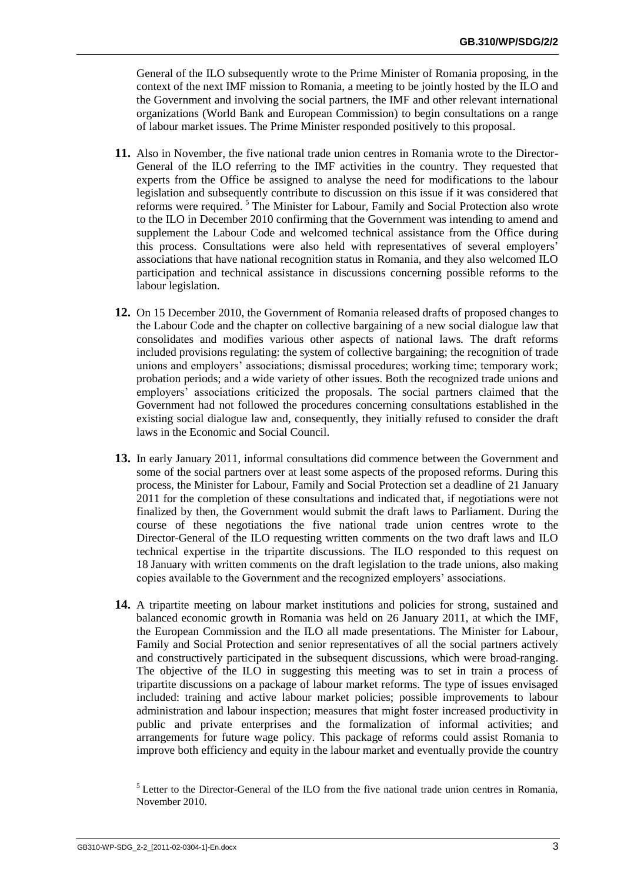General of the ILO subsequently wrote to the Prime Minister of Romania proposing, in the context of the next IMF mission to Romania, a meeting to be jointly hosted by the ILO and the Government and involving the social partners, the IMF and other relevant international organizations (World Bank and European Commission) to begin consultations on a range of labour market issues. The Prime Minister responded positively to this proposal.

- **11.** Also in November, the five national trade union centres in Romania wrote to the Director-General of the ILO referring to the IMF activities in the country. They requested that experts from the Office be assigned to analyse the need for modifications to the labour legislation and subsequently contribute to discussion on this issue if it was considered that reforms were required. <sup>5</sup> The Minister for Labour, Family and Social Protection also wrote to the ILO in December 2010 confirming that the Government was intending to amend and supplement the Labour Code and welcomed technical assistance from the Office during this process. Consultations were also held with representatives of several employers' associations that have national recognition status in Romania, and they also welcomed ILO participation and technical assistance in discussions concerning possible reforms to the labour legislation.
- **12.** On 15 December 2010, the Government of Romania released drafts of proposed changes to the Labour Code and the chapter on collective bargaining of a new social dialogue law that consolidates and modifies various other aspects of national laws. The draft reforms included provisions regulating: the system of collective bargaining; the recognition of trade unions and employers' associations; dismissal procedures; working time; temporary work; probation periods; and a wide variety of other issues. Both the recognized trade unions and employers' associations criticized the proposals. The social partners claimed that the Government had not followed the procedures concerning consultations established in the existing social dialogue law and, consequently, they initially refused to consider the draft laws in the Economic and Social Council.
- **13.** In early January 2011, informal consultations did commence between the Government and some of the social partners over at least some aspects of the proposed reforms. During this process, the Minister for Labour, Family and Social Protection set a deadline of 21 January 2011 for the completion of these consultations and indicated that, if negotiations were not finalized by then, the Government would submit the draft laws to Parliament. During the course of these negotiations the five national trade union centres wrote to the Director-General of the ILO requesting written comments on the two draft laws and ILO technical expertise in the tripartite discussions. The ILO responded to this request on 18 January with written comments on the draft legislation to the trade unions, also making copies available to the Government and the recognized employers' associations.
- **14.** A tripartite meeting on labour market institutions and policies for strong, sustained and balanced economic growth in Romania was held on 26 January 2011, at which the IMF, the European Commission and the ILO all made presentations. The Minister for Labour, Family and Social Protection and senior representatives of all the social partners actively and constructively participated in the subsequent discussions, which were broad-ranging. The objective of the ILO in suggesting this meeting was to set in train a process of tripartite discussions on a package of labour market reforms. The type of issues envisaged included: training and active labour market policies; possible improvements to labour administration and labour inspection; measures that might foster increased productivity in public and private enterprises and the formalization of informal activities; and arrangements for future wage policy. This package of reforms could assist Romania to improve both efficiency and equity in the labour market and eventually provide the country

<sup>&</sup>lt;sup>5</sup> Letter to the Director-General of the ILO from the five national trade union centres in Romania, November 2010.